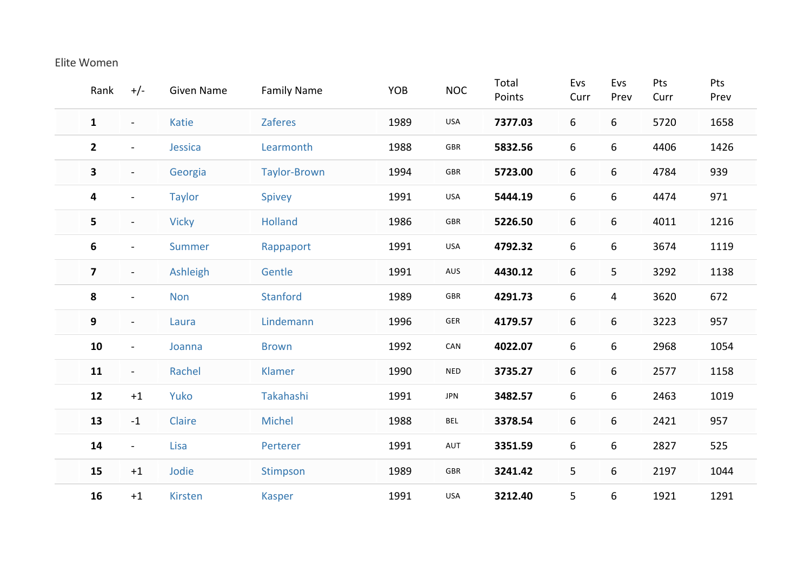## Elite Women

| Rank                    | $+/-$                    | <b>Given Name</b> | <b>Family Name</b>  | YOB  | <b>NOC</b>  | Total<br>Points | Evs<br>Curr | Evs<br>Prev      | Pts<br>Curr | Pts<br>Prev |
|-------------------------|--------------------------|-------------------|---------------------|------|-------------|-----------------|-------------|------------------|-------------|-------------|
| $\mathbf{1}$            | $\blacksquare$           | Katie             | <b>Zaferes</b>      | 1989 | <b>USA</b>  | 7377.03         | 6           | 6                | 5720        | 1658        |
| $\mathbf{2}$            | $\blacksquare$           | Jessica           | Learmonth           | 1988 | GBR         | 5832.56         | 6           | 6                | 4406        | 1426        |
| 3                       | $\blacksquare$           | Georgia           | <b>Taylor-Brown</b> | 1994 | GBR         | 5723.00         | 6           | 6                | 4784        | 939         |
| 4                       | $\overline{\phantom{a}}$ | <b>Taylor</b>     | Spivey              | 1991 | USA         | 5444.19         | 6           | 6                | 4474        | 971         |
| 5                       | $\blacksquare$           | <b>Vicky</b>      | <b>Holland</b>      | 1986 | GBR         | 5226.50         | 6           | 6                | 4011        | 1216        |
| 6                       | $\blacksquare$           | Summer            | Rappaport           | 1991 | USA         | 4792.32         | 6           | 6                | 3674        | 1119        |
| $\overline{\mathbf{z}}$ | $\blacksquare$           | Ashleigh          | Gentle              | 1991 | AUS         | 4430.12         | 6           | 5                | 3292        | 1138        |
| 8                       | $\blacksquare$           | <b>Non</b>        | Stanford            | 1989 | GBR         | 4291.73         | 6           | 4                | 3620        | 672         |
| 9                       | $\blacksquare$           | Laura             | Lindemann           | 1996 | ${\sf GER}$ | 4179.57         | 6           | 6                | 3223        | 957         |
| 10                      | $\blacksquare$           | Joanna            | <b>Brown</b>        | 1992 | CAN         | 4022.07         | 6           | 6                | 2968        | 1054        |
| 11                      | $\blacksquare$           | Rachel            | Klamer              | 1990 | <b>NED</b>  | 3735.27         | 6           | 6                | 2577        | 1158        |
| 12                      | $+1$                     | Yuko              | Takahashi           | 1991 | <b>JPN</b>  | 3482.57         | 6           | $\boldsymbol{6}$ | 2463        | 1019        |
| 13                      | $-1$                     | Claire            | <b>Michel</b>       | 1988 | <b>BEL</b>  | 3378.54         | 6           | 6                | 2421        | 957         |
| 14                      | $\blacksquare$           | Lisa              | Perterer            | 1991 | AUT         | 3351.59         | 6           | 6                | 2827        | 525         |
| 15                      | $+1$                     | Jodie             | Stimpson            | 1989 | GBR         | 3241.42         | 5           | 6                | 2197        | 1044        |
| 16                      | $+1$                     | Kirsten           | <b>Kasper</b>       | 1991 | USA         | 3212.40         | 5           | 6                | 1921        | 1291        |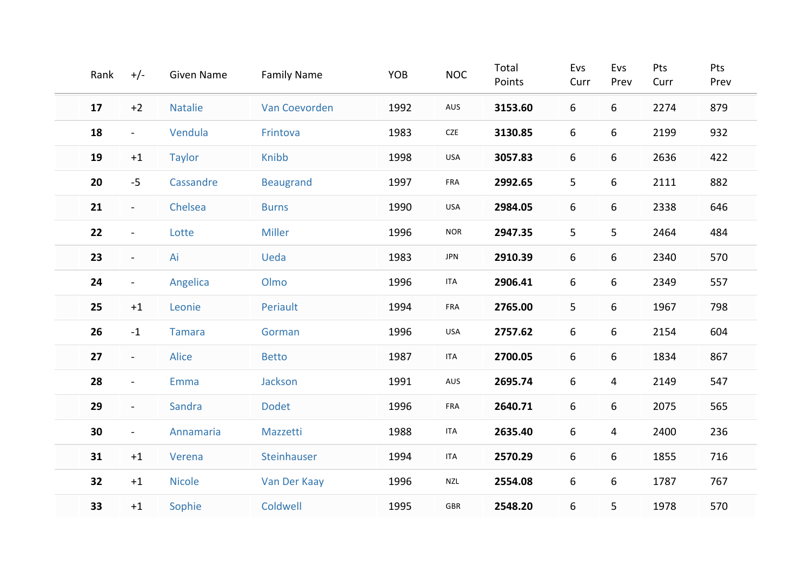| Rank | $+/-$          | <b>Given Name</b> | <b>Family Name</b> | YOB  | <b>NOC</b>  | Total<br>Points | Evs<br>Curr    | Evs<br>Prev | Pts<br>Curr | Pts<br>Prev |
|------|----------------|-------------------|--------------------|------|-------------|-----------------|----------------|-------------|-------------|-------------|
| 17   | $+2$           | <b>Natalie</b>    | Van Coevorden      | 1992 | AUS         | 3153.60         | 6              | 6           | 2274        | 879         |
| 18   | $\blacksquare$ | Vendula           | Frintova           | 1983 | CZE         | 3130.85         | 6              | 6           | 2199        | 932         |
| 19   | $+1$           | <b>Taylor</b>     | Knibb              | 1998 | USA         | 3057.83         | 6              | 6           | 2636        | 422         |
| 20   | $-5$           | Cassandre         | <b>Beaugrand</b>   | 1997 | FRA         | 2992.65         | 5 <sub>o</sub> | 6           | 2111        | 882         |
| 21   | $\blacksquare$ | Chelsea           | <b>Burns</b>       | 1990 | USA         | 2984.05         | 6              | 6           | 2338        | 646         |
| 22   | $\blacksquare$ | Lotte             | <b>Miller</b>      | 1996 | <b>NOR</b>  | 2947.35         | 5 <sub>1</sub> | 5           | 2464        | 484         |
| 23   | $\blacksquare$ | Ai                | Ueda               | 1983 | <b>JPN</b>  | 2910.39         | 6              | 6           | 2340        | 570         |
| 24   | $\blacksquare$ | Angelica          | Olmo               | 1996 | <b>ITA</b>  | 2906.41         | 6              | 6           | 2349        | 557         |
| 25   | $+1$           | Leonie            | Periault           | 1994 | FRA         | 2765.00         | 5              | 6           | 1967        | 798         |
| 26   | $-1$           | <b>Tamara</b>     | Gorman             | 1996 | USA         | 2757.62         | 6              | 6           | 2154        | 604         |
| 27   | $\sim$         | <b>Alice</b>      | <b>Betto</b>       | 1987 | <b>ITA</b>  | 2700.05         | 6              | 6           | 1834        | 867         |
| 28   | $\blacksquare$ | Emma              | Jackson            | 1991 | AUS         | 2695.74         | 6              | 4           | 2149        | 547         |
| 29   | $\blacksquare$ | Sandra            | Dodet              | 1996 | FRA         | 2640.71         | 6              | 6           | 2075        | 565         |
| 30   | $\blacksquare$ | Annamaria         | Mazzetti           | 1988 | <b>ITA</b>  | 2635.40         | 6              | 4           | 2400        | 236         |
| 31   | $+1$           | Verena            | Steinhauser        | 1994 | <b>ITA</b>  | 2570.29         | 6              | 6           | 1855        | 716         |
| 32   | $+1$           | <b>Nicole</b>     | Van Der Kaay       | 1996 | <b>NZL</b>  | 2554.08         | 6              | 6           | 1787        | 767         |
| 33   | $+1$           | Sophie            | Coldwell           | 1995 | ${\sf GBR}$ | 2548.20         | 6              | 5           | 1978        | 570         |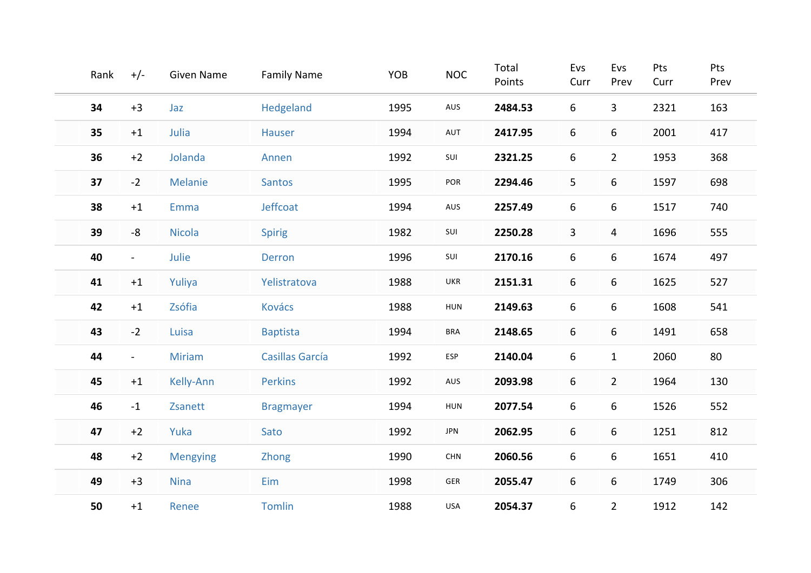| Rank | $+/-$          | <b>Given Name</b> | <b>Family Name</b> | YOB  | <b>NOC</b>            | Total<br>Points | Evs<br>Curr | Evs<br>Prev    | Pts<br>Curr | Pts<br>Prev |
|------|----------------|-------------------|--------------------|------|-----------------------|-----------------|-------------|----------------|-------------|-------------|
| 34   | $+3$           | Jaz               | Hedgeland          | 1995 | AUS                   | 2484.53         | 6           | $\mathbf{3}$   | 2321        | 163         |
| 35   | $+1$           | Julia             | <b>Hauser</b>      | 1994 | AUT                   | 2417.95         | 6           | 6              | 2001        | 417         |
| 36   | $+2$           | Jolanda           | Annen              | 1992 | SUI                   | 2321.25         | 6           | $\overline{2}$ | 1953        | 368         |
| 37   | $-2$           | Melanie           | <b>Santos</b>      | 1995 | POR                   | 2294.46         | 5           | 6              | 1597        | 698         |
| 38   | $+1$           | Emma              | Jeffcoat           | 1994 | AUS                   | 2257.49         | 6           | 6              | 1517        | 740         |
| 39   | $-8$           | <b>Nicola</b>     | <b>Spirig</b>      | 1982 | SUI                   | 2250.28         | 3           | 4              | 1696        | 555         |
| 40   | $\blacksquare$ | Julie             | <b>Derron</b>      | 1996 | SUI                   | 2170.16         | 6           | 6              | 1674        | 497         |
| 41   | $+1$           | Yuliya            | Yelistratova       | 1988 | UKR                   | 2151.31         | 6           | 6              | 1625        | 527         |
| 42   | $+1$           | Zsófia            | <b>Kovács</b>      | 1988 | HUN                   | 2149.63         | 6           | 6              | 1608        | 541         |
| 43   | $-2$           | Luisa             | <b>Baptista</b>    | 1994 | <b>BRA</b>            | 2148.65         | 6           | 6              | 1491        | 658         |
| 44   | $\blacksquare$ | <b>Miriam</b>     | Casillas García    | 1992 | ESP                   | 2140.04         | 6           | $\mathbf{1}$   | 2060        | 80          |
| 45   | $+1$           | Kelly-Ann         | <b>Perkins</b>     | 1992 | AUS                   | 2093.98         | 6           | $\overline{2}$ | 1964        | 130         |
| 46   | $-1$           | Zsanett           | <b>Bragmayer</b>   | 1994 | HUN                   | 2077.54         | 6           | 6              | 1526        | 552         |
| 47   | $+2$           | Yuka              | Sato               | 1992 | <b>JPN</b>            | 2062.95         | 6           | 6              | 1251        | 812         |
| 48   | $+2$           | <b>Mengying</b>   | Zhong              | 1990 | $\textsf{CHN}\xspace$ | 2060.56         | 6           | 6              | 1651        | 410         |
| 49   | $+3$           | <b>Nina</b>       | Eim                | 1998 | ${\sf GER}$           | 2055.47         | 6           | 6              | 1749        | 306         |
| 50   | $+1$           | Renee             | <b>Tomlin</b>      | 1988 | USA                   | 2054.37         | 6           | $\overline{2}$ | 1912        | 142         |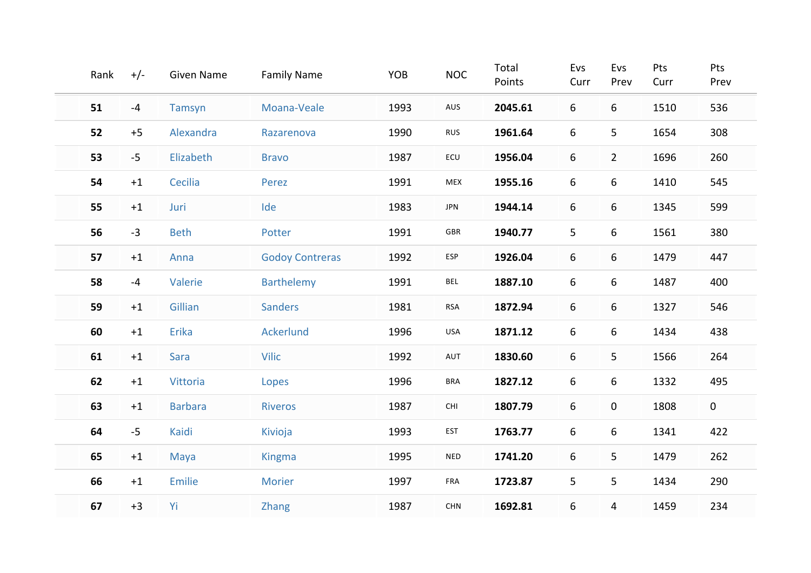| Rank | $+/-$ | <b>Given Name</b> | <b>Family Name</b>     | YOB  | <b>NOC</b>            | Total<br>Points | Evs<br>Curr | Evs<br>Prev    | Pts<br>Curr | Pts<br>Prev |
|------|-------|-------------------|------------------------|------|-----------------------|-----------------|-------------|----------------|-------------|-------------|
| 51   | $-4$  | Tamsyn            | Moana-Veale            | 1993 | AUS                   | 2045.61         | 6           | 6              | 1510        | 536         |
| 52   | $+5$  | Alexandra         | Razarenova             | 1990 | <b>RUS</b>            | 1961.64         | 6           | 5              | 1654        | 308         |
| 53   | $-5$  | Elizabeth         | <b>Bravo</b>           | 1987 | ECU                   | 1956.04         | 6           | $\overline{2}$ | 1696        | 260         |
| 54   | $+1$  | Cecilia           | Perez                  | 1991 | MEX                   | 1955.16         | 6           | 6              | 1410        | 545         |
| 55   | $+1$  | Juri              | Ide                    | 1983 | <b>JPN</b>            | 1944.14         | 6           | 6              | 1345        | 599         |
| 56   | $-3$  | <b>Beth</b>       | Potter                 | 1991 | GBR                   | 1940.77         | 5           | 6              | 1561        | 380         |
| 57   | $+1$  | Anna              | <b>Godoy Contreras</b> | 1992 | ESP                   | 1926.04         | 6           | 6              | 1479        | 447         |
| 58   | $-4$  | Valerie           | <b>Barthelemy</b>      | 1991 | <b>BEL</b>            | 1887.10         | 6           | 6              | 1487        | 400         |
| 59   | $+1$  | Gillian           | <b>Sanders</b>         | 1981 | <b>RSA</b>            | 1872.94         | 6           | 6              | 1327        | 546         |
| 60   | $+1$  | Erika             | <b>Ackerlund</b>       | 1996 | USA                   | 1871.12         | 6           | 6              | 1434        | 438         |
| 61   | $+1$  | Sara              | <b>Vilic</b>           | 1992 | AUT                   | 1830.60         | 6           | 5              | 1566        | 264         |
| 62   | $+1$  | Vittoria          | Lopes                  | 1996 | <b>BRA</b>            | 1827.12         | 6           | 6              | 1332        | 495         |
| 63   | $+1$  | <b>Barbara</b>    | <b>Riveros</b>         | 1987 | $\mathsf{CHI}\xspace$ | 1807.79         | 6           | 0              | 1808        | $\mathbf 0$ |
| 64   | $-5$  | Kaidi             | Kivioja                | 1993 | <b>EST</b>            | 1763.77         | 6           | 6              | 1341        | 422         |
| 65   | $+1$  | Maya              | <b>Kingma</b>          | 1995 | <b>NED</b>            | 1741.20         | 6           | 5              | 1479        | 262         |
| 66   | $+1$  | Emilie            | <b>Morier</b>          | 1997 | FRA                   | 1723.87         | 5           | 5              | 1434        | 290         |
| 67   | $+3$  | Yi                | Zhang                  | 1987 | CHN                   | 1692.81         | 6           | 4              | 1459        | 234         |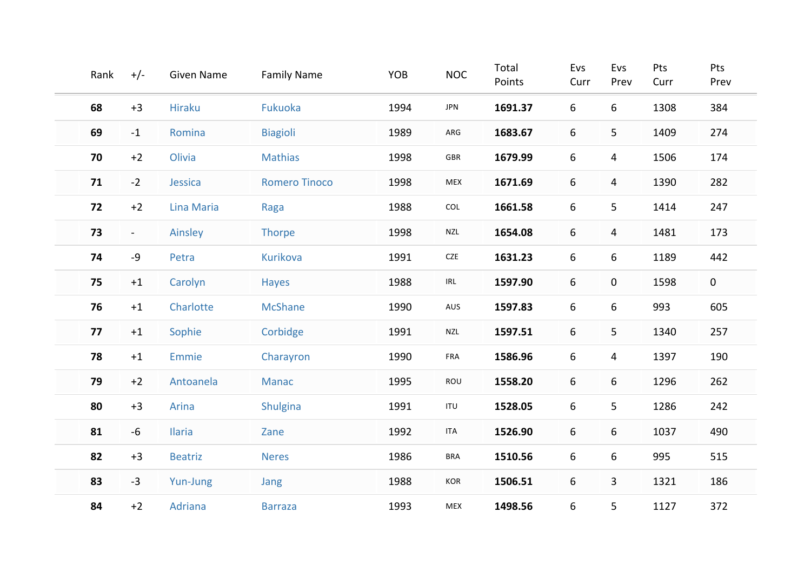| Rank | $+/-$          | <b>Given Name</b> | <b>Family Name</b>   | YOB  | <b>NOC</b>                         | Total<br>Points | Evs<br>Curr | Evs<br>Prev | Pts<br>Curr | Pts<br>Prev |
|------|----------------|-------------------|----------------------|------|------------------------------------|-----------------|-------------|-------------|-------------|-------------|
| 68   | $+3$           | <b>Hiraku</b>     | Fukuoka              | 1994 | JPN                                | 1691.37         | 6           | 6           | 1308        | 384         |
| 69   | $-1$           | Romina            | <b>Biagioli</b>      | 1989 | ARG                                | 1683.67         | 6           | 5           | 1409        | 274         |
| 70   | $+2$           | Olivia            | <b>Mathias</b>       | 1998 | ${\sf GBR}$                        | 1679.99         | 6           | 4           | 1506        | 174         |
| 71   | $-2$           | Jessica           | <b>Romero Tinoco</b> | 1998 | <b>MEX</b>                         | 1671.69         | 6           | 4           | 1390        | 282         |
| 72   | $+2$           | Lina Maria        | Raga                 | 1988 | COL                                | 1661.58         | 6           | 5           | 1414        | 247         |
| 73   | $\blacksquare$ | Ainsley           | Thorpe               | 1998 | <b>NZL</b>                         | 1654.08         | 6           | 4           | 1481        | 173         |
| 74   | $-9$           | Petra             | <b>Kurikova</b>      | 1991 | ${\sf CZE}$                        | 1631.23         | 6           | 6           | 1189        | 442         |
| 75   | $+1$           | Carolyn           | Hayes                | 1988 | $\ensuremath{\mathsf{IRL}}\xspace$ | 1597.90         | 6           | 0           | 1598        | $\mathbf 0$ |
| 76   | $+1$           | Charlotte         | <b>McShane</b>       | 1990 | AUS                                | 1597.83         | 6           | 6           | 993         | 605         |
| 77   | $+1$           | Sophie            | Corbidge             | 1991 | NZL                                | 1597.51         | 6           | 5           | 1340        | 257         |
| 78   | $+1$           | <b>Emmie</b>      | Charayron            | 1990 | FRA                                | 1586.96         | 6           | 4           | 1397        | 190         |
| 79   | $+2$           | Antoanela         | Manac                | 1995 | ROU                                | 1558.20         | 6           | 6           | 1296        | 262         |
| 80   | $+3$           | Arina             | Shulgina             | 1991 | ITU                                | 1528.05         | 6           | 5           | 1286        | 242         |
| 81   | $-6$           | <b>Ilaria</b>     | Zane                 | 1992 | <b>ITA</b>                         | 1526.90         | 6           | 6           | 1037        | 490         |
| 82   | $+3$           | <b>Beatriz</b>    | <b>Neres</b>         | 1986 | <b>BRA</b>                         | 1510.56         | 6           | 6           | 995         | 515         |
| 83   | $-3$           | Yun-Jung          | Jang                 | 1988 | KOR                                | 1506.51         | 6           | 3           | 1321        | 186         |
| 84   | $+2$           | Adriana           | <b>Barraza</b>       | 1993 | MEX                                | 1498.56         | 6           | 5           | 1127        | 372         |